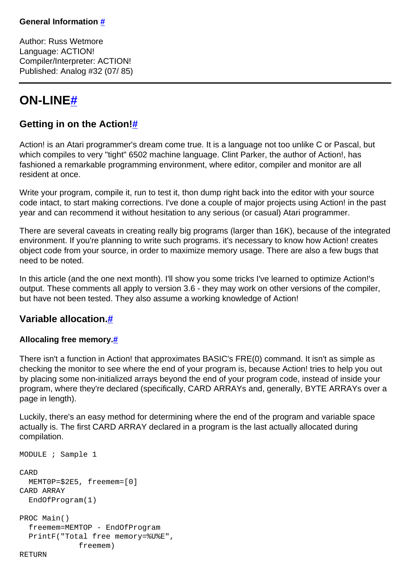Author: Russ Wetmore Language: ACTION! Compiler/Interpreter: ACTION! Published: Analog #32 (07/ 85)

# **ON-LIN[E#](http://[fd00::119]:8080/wiki/#section-Getting+in+on+the+Action+1-ONLINE)**

# **Getting in on the Action[!#](http://[fd00::119]:8080/wiki/#section-Getting+in+on+the+Action+1-GettingInOnTheAction)**

Action! is an Atari programmer's dream come true. It is a language not too unlike C or Pascal, but which compiles to very "tight" 6502 machine language. Clint Parker, the author of Action!, has fashioned a remarkable programming environment, where editor, compiler and monitor are all resident at once.

Write your program, compile it, run to test it, thon dump right back into the editor with your source code intact, to start making corrections. I've done a couple of major projects using Action! in the past year and can recommend it without hesitation to any serious (or casual) Atari programmer.

There are several caveats in creating really big programs (larger than 16K), because of the integrated environment. If you're planning to write such programs. it's necessary to know how Action! creates object code from your source, in order to maximize memory usage. There are also a few bugs that need to be noted.

In this article (and the one next month). I'll show you some tricks I've learned to optimize Action!'s output. These comments all apply to version 3.6 - they may work on other versions of the compiler, but have not been tested. They also assume a working knowledge of Action!

# **Variable allocation[.#](http://[fd00::119]:8080/wiki/#section-Getting+in+on+the+Action+1-VariableAllocation.)**

# **Allocaling free memory[.#](http://[fd00::119]:8080/wiki/#section-Getting+in+on+the+Action+1-AllocalingFreeMemory.)**

There isn't a function in Action! that approximates BASIC's FRE(0) command. It isn't as simple as checking the monitor to see where the end of your program is, because Action! tries to help you out by placing some non-initialized arrays beyond the end of your program code, instead of inside your program, where they're declared (specifically, CARD ARRAYs and, generally, BYTE ARRAYs over a page in length).

Luckily, there's an easy method for determining where the end of the program and variable space actually is. The first CARD ARRAY declared in a program is the last actually allocated during compilation.

```
MODULE ; Sample 1
CARD
  MEMT0P=$2E5, freemem=[0]
CARD ARRAY
   EndOfProgram(1)
PROC Main()
   freemem=MEMTOP - EndOfProgram
   PrintF("Total free memory=%U%E", 
              freemem)
```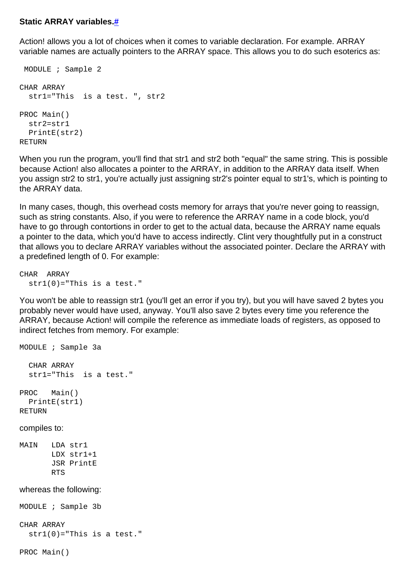#### **Static ARRAY variables.[#](http://[fd00::119]:8080/wiki/#section-Getting+in+on+the+Action+1-StaticARRAYVariables.)**

Action! allows you a lot of choices when it comes to variable declaration. For example. ARRAY variable names are actually pointers to the ARRAY space. This allows you to do such esoterics as:

```
 MODULE ; Sample 2
CHAR ARRAY
   str1="This is a test. ", str2
PROC Main()
   str2=str1
  PrintE(str2)
RETURN
```
When you run the program, you'll find that str1 and str2 both "equal" the same string. This is possible because Action! also allocates a pointer to the ARRAY, in addition to the ARRAY data itself. When you assign str2 to str1, you're actually just assigning str2's pointer equal to str1's, which is pointing to the ARRAY data.

In many cases, though, this overhead costs memory for arrays that you're never going to reassign, such as string constants. Also, if you were to reference the ARRAY name in a code block, you'd have to go through contortions in order to get to the actual data, because the ARRAY name equals a pointer to the data, which you'd have to access indirectly. Clint very thoughtfully put in a construct that allows you to declare ARRAY variables without the associated pointer. Declare the ARRAY with a predefined length of 0. For example:

CHAR ARRAY  $str1(0) = "This is a test."$ 

You won't be able to reassign str1 (you'll get an error if you try), but you will have saved 2 bytes you probably never would have used, anyway. You'll also save 2 bytes every time you reference the ARRAY, because Action! will compile the reference as immediate loads of registers, as opposed to indirect fetches from memory. For example:

MODULE ; Sample 3a CHAR ARRAY str1="This is a test." PROC Main() PrintE(str1)

RETURN

compiles to:

MAIN LDA str1 LDX str1+1 JSR PrintE RTS

#### whereas the following:

MODULE ; Sample 3b

CHAR ARRAY  $str1(0) = "This is a test."$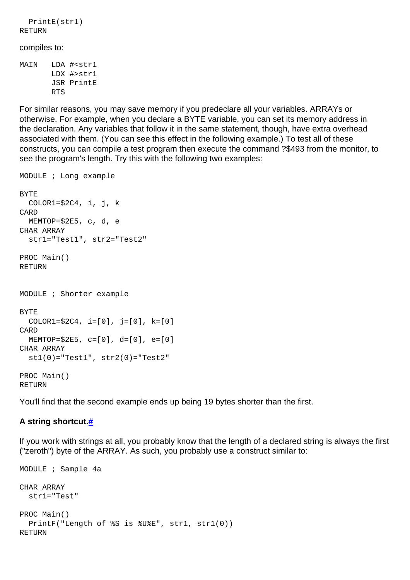```
 PrintE(str1)
RETURN
compiles to:
MAIN LDA #<str1
        LDX #>str1
        JSR PrintE
        RTS
```
For similar reasons, you may save memory if you predeclare all your variables. ARRAYs or otherwise. For example, when you declare a BYTE variable, you can set its memory address in the declaration. Any variables that follow it in the same statement, though, have extra overhead associated with them. (You can see this effect in the following example.) To test all of these constructs, you can compile a test program then execute the command ?\$493 from the monitor, to see the program's length. Try this with the following two examples:

```
MODULE ; Long example
BYTE
  COLOR1 = $2C4, i, j, kCARD
   MEMTOP=$2E5, c, d, e
CHAR ARRAY
   str1="Test1", str2="Test2"
PROC Main()
RETURN
MODULE ; Shorter example
BYTE
  COLOR1 = $2C4, i = [0], j = [0], k = [0]CARD
   MEMTOP=$2E5, c=[0], d=[0], e=[0]
CHAR ARRAY
  st1(0) = "Test1", str2(0) = "Test2"PROC Main()
RETURN
```
You'll find that the second example ends up being 19 bytes shorter than the first.

#### **A string shortcut[.#](http://[fd00::119]:8080/wiki/#section-Getting+in+on+the+Action+1-AStringShortcut.)**

If you work with strings at all, you probably know that the length of a declared string is always the first ("zeroth") byte of the ARRAY. As such, you probably use a construct similar to:

```
MODULE ; Sample 4a
CHAR ARRAY
   str1="Test"
PROC Main()
   PrintF("Length of %S is %U%E", str1, str1(0))
RETURN
```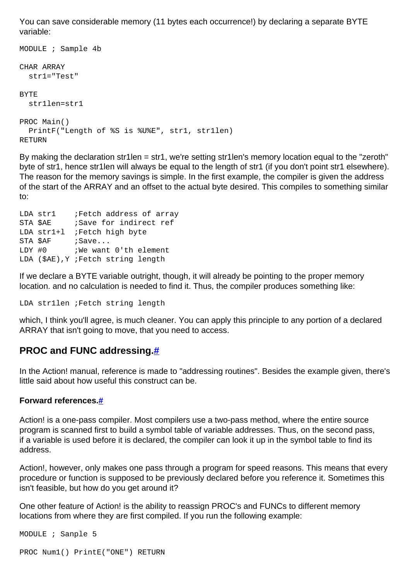You can save considerable memory (11 bytes each occurrence!) by declaring a separate BYTE variable:

```
MODULE ; Sample 4b
CHAR ARRAY
   str1="Test"
BYTE
   str1len=str1
PROC Main()
   PrintF("Length of %S is %U%E", str1, str1len)
RETURN
```
By making the declaration str1len = str1, we're setting str1len's memory location equal to the "zeroth" byte of str1, hence str1len will always be equal to the length of str1 (if you don't point str1 elsewhere). The reason for the memory savings is simple. In the first example, the compiler is given the address of the start of the ARRAY and an offset to the actual byte desired. This compiles to something similar to:

```
LDA str1 ;Fetch address of array
STA $AE         ; Save for indirect ref
LDA str1+1 ; Fetch high byte
STA $AF ; Save...
LDY #0 ; We want 0'th element
LDA ($AE),Y ;Fetch string length
```
If we declare a BYTE variable outright, though, it will already be pointing to the proper memory location. and no calculation is needed to find it. Thus, the compiler produces something like:

LDA str1len ;Fetch string length

which, I think you'll agree, is much cleaner. You can apply this principle to any portion of a declared ARRAY that isn't going to move, that you need to access.

# **PROC and FUNC addressing[.#](http://[fd00::119]:8080/wiki/#section-Getting+in+on+the+Action+1-PROCAndFUNCAddressing.)**

In the Action! manual, reference is made to "addressing routines". Besides the example given, there's little said about how useful this construct can be.

#### **Forward references[.#](http://[fd00::119]:8080/wiki/#section-Getting+in+on+the+Action+1-ForwardReferences.)**

Action! is a one-pass compiler. Most compilers use a two-pass method, where the entire source program is scanned first to build a symbol table of variable addresses. Thus, on the second pass, if a variable is used before it is declared, the compiler can look it up in the symbol table to find its address.

Action!, however, only makes one pass through a program for speed reasons. This means that every procedure or function is supposed to be previously declared before you reference it. Sometimes this isn't feasible, but how do you get around it?

One other feature of Action! is the ability to reassign PROC's and FUNCs to different memory locations from where they are first compiled. If you run the following example:

MODULE ; Sanple 5

```
PROC Num1() PrintE("ONE") RETURN
```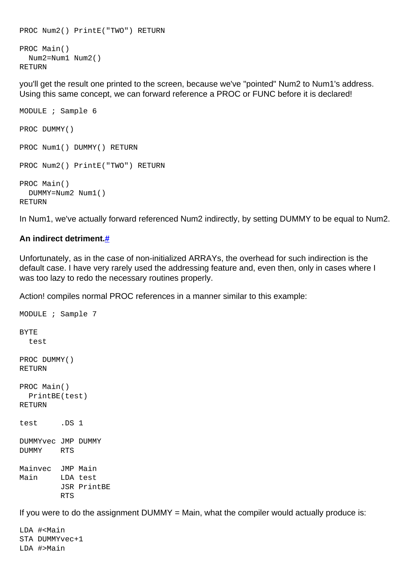```
PROC Num2() PrintE("TWO") RETURN
PROC Main()
   Num2=Num1 Num2()
RETURN
```
you'll get the result one printed to the screen, because we've "pointed" Num2 to Num1's address. Using this same concept, we can forward reference a PROC or FUNC before it is declared!

```
MODULE ; Sample 6
PROC DUMMY()
PROC Num1() DUMMY() RETURN
PROC Num2() PrintE("TWO") RETURN
PROC Main()
  DUMMY=Num2 Num1()
RETURN
```
In Num1, we've actually forward referenced Num2 indirectly, by setting DUMMY to be equal to Num2.

### **An indirect detriment[.#](http://[fd00::119]:8080/wiki/#section-Getting+in+on+the+Action+1-AnIndirectDetriment.)**

Unfortunately, as in the case of non-initialized ARRAYs, the overhead for such indirection is the default case. I have very rarely used the addressing feature and, even then, only in cases where I was too lazy to redo the necessary routines properly.

Action! compiles normal PROC references in a manner similar to this example:

```
MODULE ; Sample 7
BYTE
   test
PROC DUMMY()
RETURN
PROC Main()
  PrintBE(test)
RETURN
test .DS 1
DUMMYvec JMP DUMMY
DUMMY RTS
Mainvec JMP Main
Main LDA test
         JSR PrintBE
         RTS
```
If you were to do the assignment  $DUMMY = Main$ , what the compiler would actually produce is:

LDA #<Main STA DUMMYvec+1 LDA #>Main